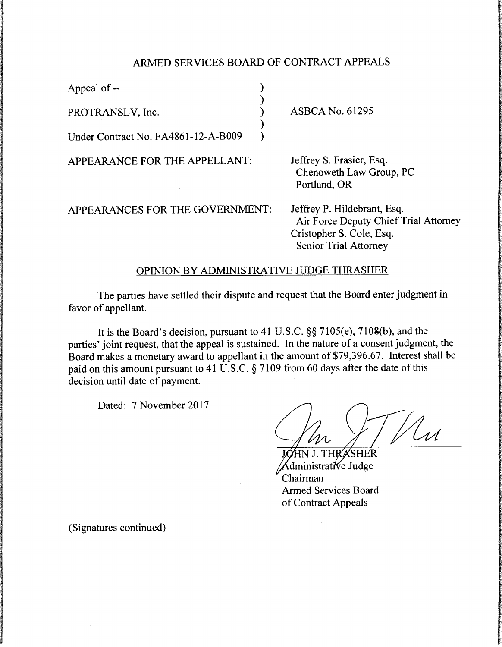## ARMED SERVICES BOARD OF CONTRACT APPEALS

)

)

Appeal of  $\leftarrow$  )

PROTRANSLV, Inc.

Under Contract No. FA4861-12-A-B009 )

APPEARANCE FOR THE APPELLANT:

ASBCA No. 61295

Jeffrey S. Frasier, Esq. Chenoweth Law Group, PC Portland, OR

APPEARANCES FOR THE GOVERNMENT:

Jeffrey P. Hildebrant, Esq. Air Force Deputy Chief Trial Attorney Cristopher S. Cole, Esq. Senior Trial Attorney

## OPINION BY ADMINISTRATIVE JUDGE THRASHER

The parties have settled their dispute and request that the Board enter judgment in favor of appellant.

It is the Board's decision, pursuant to 41 U.S.C. §§ 7105(e), 7IOS(b), and the parties' joint request, that the appeal is sustained. In the nature of a consent judgment, the Board makes a monetary award to appellant in the amount of \$79,396.67. Interest shall be paid on this amount pursuant to 41 U.S.C. § 7109 from 60 days after the date of this decision until date of payment.

Dated: 7 November 2017

Lu

**HR'A'SHER** ministrative Judge Chairman **Armed Services Board** of Contract Appeals

(Signatures continued)